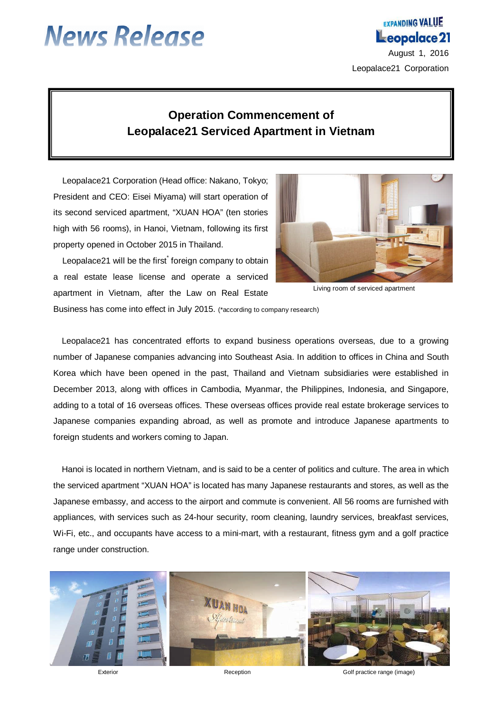# **News Release**

# Leopalace 21 August 1, 2016 Leopalace21 Corporation

**EXPANDING VALUE** 

## **Operation Commencement of Leopalace21 Serviced Apartment in Vietnam**

Leopalace21 Corporation (Head office: Nakano, Tokyo; President and CEO: Eisei Miyama) will start operation of its second serviced apartment, "XUAN HOA" (ten stories high with 56 rooms), in Hanoi, Vietnam, following its first property opened in October 2015 in Thailand.

Leopalace21 will be the first<sup>\*</sup> foreign company to obtain a real estate lease license and operate a serviced apartment in Vietnam, after the Law on Real Estate



Living room of serviced apartment

Business has come into effect in July 2015. (\*according to company research)

Leopalace21 has concentrated efforts to expand business operations overseas, due to a growing number of Japanese companies advancing into Southeast Asia. In addition to offices in China and South Korea which have been opened in the past, Thailand and Vietnam subsidiaries were established in December 2013, along with offices in Cambodia, Myanmar, the Philippines, Indonesia, and Singapore, adding to a total of 16 overseas offices. These overseas offices provide real estate brokerage services to Japanese companies expanding abroad, as well as promote and introduce Japanese apartments to foreign students and workers coming to Japan.

Hanoi is located in northern Vietnam, and is said to be a center of politics and culture. The area in which the serviced apartment "XUAN HOA" is located has many Japanese restaurants and stores, as well as the Japanese embassy, and access to the airport and commute is convenient. All 56 rooms are furnished with appliances, with services such as 24-hour security, room cleaning, laundry services, breakfast services, Wi-Fi, etc., and occupants have access to a mini-mart, with a restaurant, fitness gym and a golf practice range under construction.



Exterior **Exterior** Controller Reception Reception Reception Colf practice range (image)